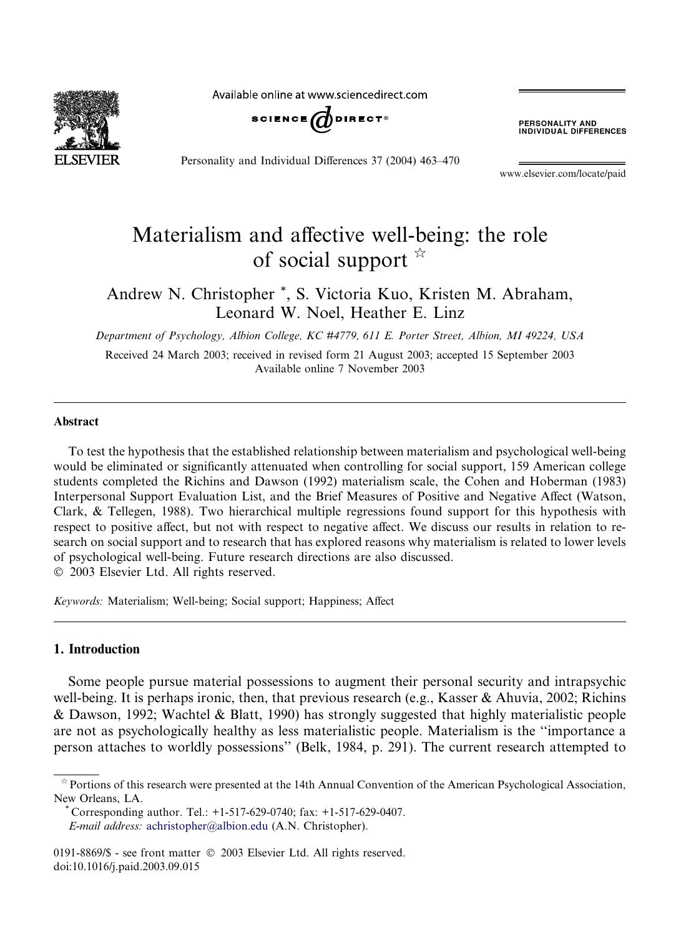

Available online at www.sciencedirect.com



Personality and Individual Differences 37 (2004) 463–470

**PERSONALITY AND<br>INDIVIDUAL DIFFERENCES** 

www.elsevier.com/locate/paid

## Materialism and affective well-being: the role of social support  $\overrightarrow{r}$

Andrew N. Christopher \*, S. Victoria Kuo, Kristen M. Abraham, Leonard W. Noel, Heather E. Linz

Department of Psychology, Albion College, KC #4779, 611 E. Porter Street, Albion, MI 49224, USA

Received 24 March 2003; received in revised form 21 August 2003; accepted 15 September 2003 Available online 7 November 2003

## Abstract

To test the hypothesis that the established relationship between materialism and psychological well-being would be eliminated or significantly attenuated when controlling for social support, 159 American college students completed the Richins and Dawson (1992) materialism scale, the Cohen and Hoberman (1983) Interpersonal Support Evaluation List, and the Brief Measures of Positive and Negative Affect (Watson, Clark, & Tellegen, 1988). Two hierarchical multiple regressions found support for this hypothesis with respect to positive affect, but not with respect to negative affect. We discuss our results in relation to research on social support and to research that has explored reasons why materialism is related to lower levels of psychological well-being. Future research directions are also discussed. 2003 Elsevier Ltd. All rights reserved.

Keywords: Materialism; Well-being; Social support; Happiness; Affect

## 1. Introduction

Some people pursue material possessions to augment their personal security and intrapsychic well-being. It is perhaps ironic, then, that previous research (e.g., Kasser & Ahuvia, 2002; Richins & Dawson, 1992; Wachtel & Blatt, 1990) has strongly suggested that highly materialistic people are not as psychologically healthy as less materialistic people. Materialism is the ''importance a person attaches to worldly possessions'' (Belk, 1984, p. 291). The current research attempted to

Corresponding author. Tel.:  $+1-517-629-0740$ ; fax:  $+1-517-629-0407$ . E-mail address: [achristopher@albion.edu](mail to: achristopher@albion.edu) (A.N. Christopher).

 $\dot{\gamma}$  Portions of this research were presented at the 14th Annual Convention of the American Psychological Association, New Orleans, LA.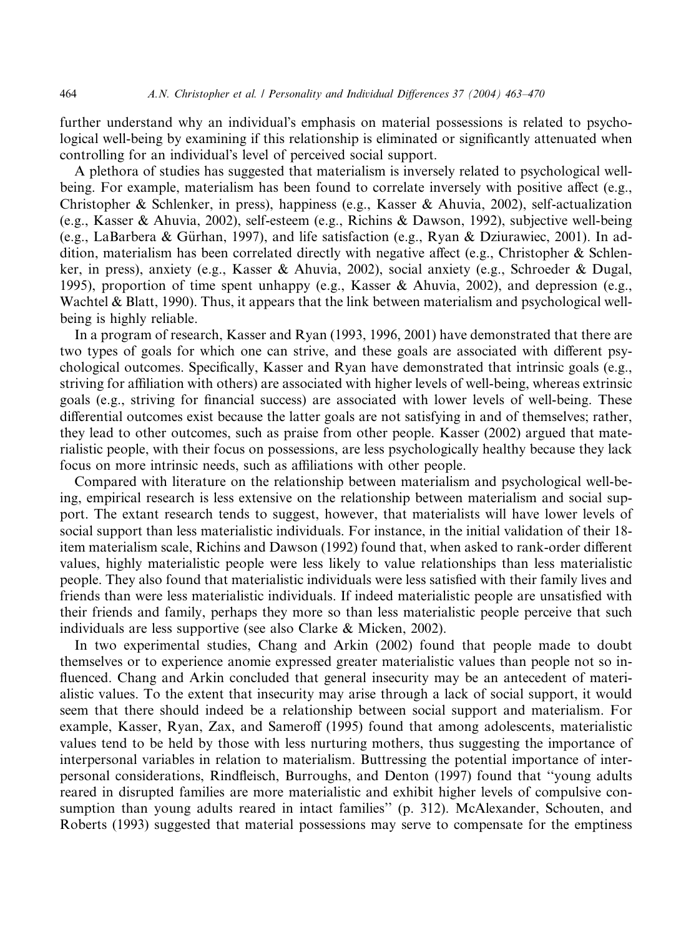further understand why an individual's emphasis on material possessions is related to psychological well-being by examining if this relationship is eliminated or significantly attenuated when controlling for an individual's level of perceived social support.

A plethora of studies has suggested that materialism is inversely related to psychological wellbeing. For example, materialism has been found to correlate inversely with positive affect (e.g., Christopher & Schlenker, in press), happiness (e.g., Kasser & Ahuvia, 2002), self-actualization (e.g., Kasser & Ahuvia, 2002), self-esteem (e.g., Richins & Dawson, 1992), subjective well-being (e.g., LaBarbera & Gürhan, 1997), and life satisfaction (e.g., Ryan & Dziurawiec, 2001). In addition, materialism has been correlated directly with negative affect (e.g., Christopher & Schlenker, in press), anxiety (e.g., Kasser & Ahuvia, 2002), social anxiety (e.g., Schroeder & Dugal, 1995), proportion of time spent unhappy (e.g., Kasser & Ahuvia, 2002), and depression (e.g., Wachtel & Blatt, 1990). Thus, it appears that the link between materialism and psychological wellbeing is highly reliable.

In a program of research, Kasser and Ryan (1993, 1996, 2001) have demonstrated that there are two types of goals for which one can strive, and these goals are associated with different psychological outcomes. Specifically, Kasser and Ryan have demonstrated that intrinsic goals (e.g., striving for affiliation with others) are associated with higher levels of well-being, whereas extrinsic goals (e.g., striving for financial success) are associated with lower levels of well-being. These differential outcomes exist because the latter goals are not satisfying in and of themselves; rather, they lead to other outcomes, such as praise from other people. Kasser (2002) argued that materialistic people, with their focus on possessions, are less psychologically healthy because they lack focus on more intrinsic needs, such as affiliations with other people.

Compared with literature on the relationship between materialism and psychological well-being, empirical research is less extensive on the relationship between materialism and social support. The extant research tends to suggest, however, that materialists will have lower levels of social support than less materialistic individuals. For instance, in the initial validation of their 18 item materialism scale, Richins and Dawson (1992) found that, when asked to rank-order different values, highly materialistic people were less likely to value relationships than less materialistic people. They also found that materialistic individuals were less satisfied with their family lives and friends than were less materialistic individuals. If indeed materialistic people are unsatisfied with their friends and family, perhaps they more so than less materialistic people perceive that such individuals are less supportive (see also Clarke & Micken, 2002).

In two experimental studies, Chang and Arkin (2002) found that people made to doubt themselves or to experience anomie expressed greater materialistic values than people not so influenced. Chang and Arkin concluded that general insecurity may be an antecedent of materialistic values. To the extent that insecurity may arise through a lack of social support, it would seem that there should indeed be a relationship between social support and materialism. For example, Kasser, Ryan, Zax, and Sameroff (1995) found that among adolescents, materialistic values tend to be held by those with less nurturing mothers, thus suggesting the importance of interpersonal variables in relation to materialism. Buttressing the potential importance of interpersonal considerations, Rindfleisch, Burroughs, and Denton (1997) found that ''young adults reared in disrupted families are more materialistic and exhibit higher levels of compulsive consumption than young adults reared in intact families'' (p. 312). McAlexander, Schouten, and Roberts (1993) suggested that material possessions may serve to compensate for the emptiness